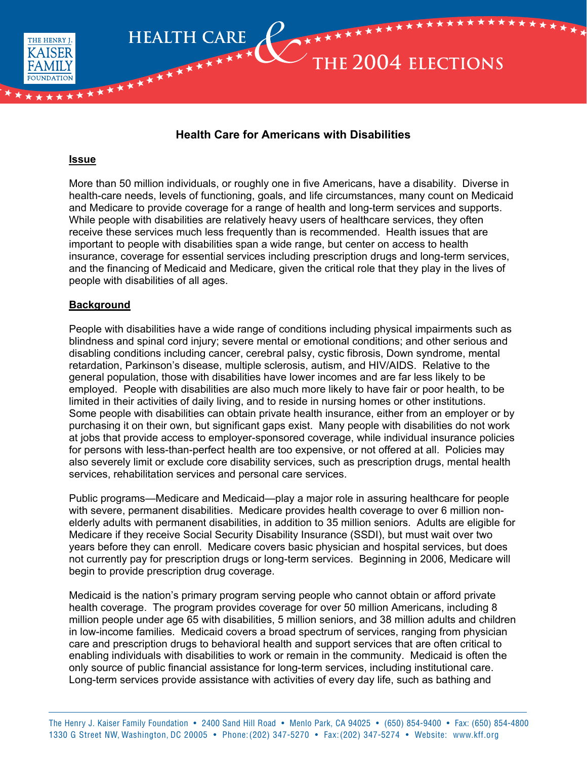

# **Health Care for Americans with Disabilities**

#### **Issue**

\*\*\*\*

\* \*

More than 50 million individuals, or roughly one in five Americans, have a disability. Diverse in health-care needs, levels of functioning, goals, and life circumstances, many count on Medicaid and Medicare to provide coverage for a range of health and long-term services and supports. While people with disabilities are relatively heavy users of healthcare services, they often receive these services much less frequently than is recommended. Health issues that are important to people with disabilities span a wide range, but center on access to health insurance, coverage for essential services including prescription drugs and long-term services, and the financing of Medicaid and Medicare, given the critical role that they play in the lives of people with disabilities of all ages.

#### **Background**

People with disabilities have a wide range of conditions including physical impairments such as blindness and spinal cord injury; severe mental or emotional conditions; and other serious and disabling conditions including cancer, cerebral palsy, cystic fibrosis, Down syndrome, mental retardation, Parkinson's disease, multiple sclerosis, autism, and HIV/AIDS. Relative to the general population, those with disabilities have lower incomes and are far less likely to be employed. People with disabilities are also much more likely to have fair or poor health, to be limited in their activities of daily living, and to reside in nursing homes or other institutions. Some people with disabilities can obtain private health insurance, either from an employer or by purchasing it on their own, but significant gaps exist. Many people with disabilities do not work at jobs that provide access to employer-sponsored coverage, while individual insurance policies for persons with less-than-perfect health are too expensive, or not offered at all. Policies may also severely limit or exclude core disability services, such as prescription drugs, mental health services, rehabilitation services and personal care services.

Public programs—Medicare and Medicaid—play a major role in assuring healthcare for people with severe, permanent disabilities. Medicare provides health coverage to over 6 million nonelderly adults with permanent disabilities, in addition to 35 million seniors. Adults are eligible for Medicare if they receive Social Security Disability Insurance (SSDI), but must wait over two years before they can enroll. Medicare covers basic physician and hospital services, but does not currently pay for prescription drugs or long-term services. Beginning in 2006, Medicare will begin to provide prescription drug coverage.

Medicaid is the nation's primary program serving people who cannot obtain or afford private health coverage. The program provides coverage for over 50 million Americans, including 8 million people under age 65 with disabilities, 5 million seniors, and 38 million adults and children in low-income families. Medicaid covers a broad spectrum of services, ranging from physician care and prescription drugs to behavioral health and support services that are often critical to enabling individuals with disabilities to work or remain in the community. Medicaid is often the only source of public financial assistance for long-term services, including institutional care. Long-term services provide assistance with activities of every day life, such as bathing and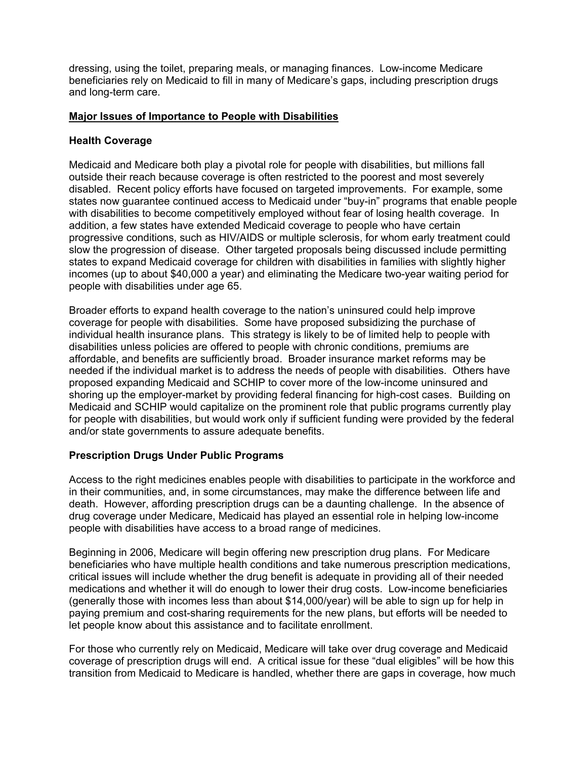dressing, using the toilet, preparing meals, or managing finances. Low-income Medicare beneficiaries rely on Medicaid to fill in many of Medicare's gaps, including prescription drugs and long-term care.

### **Major Issues of Importance to People with Disabilities**

#### **Health Coverage**

Medicaid and Medicare both play a pivotal role for people with disabilities, but millions fall outside their reach because coverage is often restricted to the poorest and most severely disabled. Recent policy efforts have focused on targeted improvements. For example, some states now guarantee continued access to Medicaid under "buy-in" programs that enable people with disabilities to become competitively employed without fear of losing health coverage. In addition, a few states have extended Medicaid coverage to people who have certain progressive conditions, such as HIV/AIDS or multiple sclerosis, for whom early treatment could slow the progression of disease. Other targeted proposals being discussed include permitting states to expand Medicaid coverage for children with disabilities in families with slightly higher incomes (up to about \$40,000 a year) and eliminating the Medicare two-year waiting period for people with disabilities under age 65.

Broader efforts to expand health coverage to the nation's uninsured could help improve coverage for people with disabilities. Some have proposed subsidizing the purchase of individual health insurance plans. This strategy is likely to be of limited help to people with disabilities unless policies are offered to people with chronic conditions, premiums are affordable, and benefits are sufficiently broad. Broader insurance market reforms may be needed if the individual market is to address the needs of people with disabilities. Others have proposed expanding Medicaid and SCHIP to cover more of the low-income uninsured and shoring up the employer-market by providing federal financing for high-cost cases. Building on Medicaid and SCHIP would capitalize on the prominent role that public programs currently play for people with disabilities, but would work only if sufficient funding were provided by the federal and/or state governments to assure adequate benefits.

## **Prescription Drugs Under Public Programs**

Access to the right medicines enables people with disabilities to participate in the workforce and in their communities, and, in some circumstances, may make the difference between life and death. However, affording prescription drugs can be a daunting challenge. In the absence of drug coverage under Medicare, Medicaid has played an essential role in helping low-income people with disabilities have access to a broad range of medicines.

Beginning in 2006, Medicare will begin offering new prescription drug plans. For Medicare beneficiaries who have multiple health conditions and take numerous prescription medications, critical issues will include whether the drug benefit is adequate in providing all of their needed medications and whether it will do enough to lower their drug costs. Low-income beneficiaries (generally those with incomes less than about \$14,000/year) will be able to sign up for help in paying premium and cost-sharing requirements for the new plans, but efforts will be needed to let people know about this assistance and to facilitate enrollment.

For those who currently rely on Medicaid, Medicare will take over drug coverage and Medicaid coverage of prescription drugs will end. A critical issue for these "dual eligibles" will be how this transition from Medicaid to Medicare is handled, whether there are gaps in coverage, how much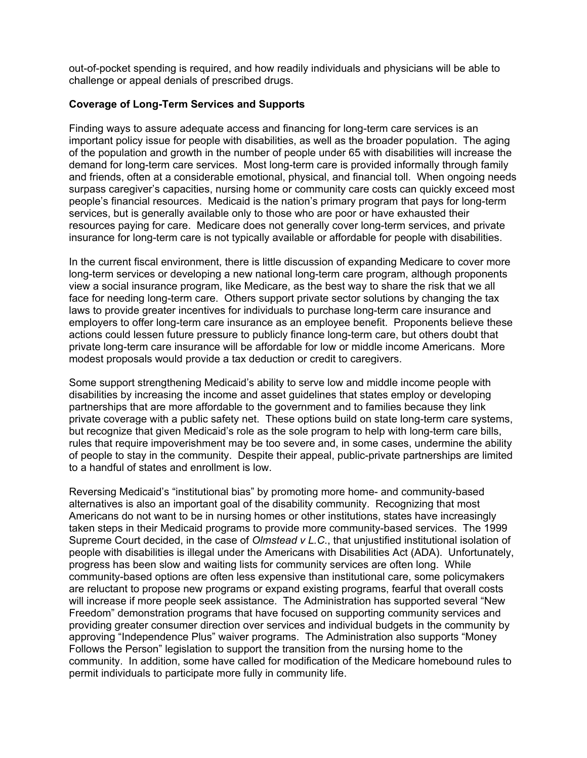out-of-pocket spending is required, and how readily individuals and physicians will be able to challenge or appeal denials of prescribed drugs.

### **Coverage of Long-Term Services and Supports**

Finding ways to assure adequate access and financing for long-term care services is an important policy issue for people with disabilities, as well as the broader population. The aging of the population and growth in the number of people under 65 with disabilities will increase the demand for long-term care services. Most long-term care is provided informally through family and friends, often at a considerable emotional, physical, and financial toll. When ongoing needs surpass caregiver's capacities, nursing home or community care costs can quickly exceed most people's financial resources. Medicaid is the nation's primary program that pays for long-term services, but is generally available only to those who are poor or have exhausted their resources paying for care. Medicare does not generally cover long-term services, and private insurance for long-term care is not typically available or affordable for people with disabilities.

In the current fiscal environment, there is little discussion of expanding Medicare to cover more long-term services or developing a new national long-term care program, although proponents view a social insurance program, like Medicare, as the best way to share the risk that we all face for needing long-term care. Others support private sector solutions by changing the tax laws to provide greater incentives for individuals to purchase long-term care insurance and employers to offer long-term care insurance as an employee benefit. Proponents believe these actions could lessen future pressure to publicly finance long-term care, but others doubt that private long-term care insurance will be affordable for low or middle income Americans. More modest proposals would provide a tax deduction or credit to caregivers.

Some support strengthening Medicaid's ability to serve low and middle income people with disabilities by increasing the income and asset guidelines that states employ or developing partnerships that are more affordable to the government and to families because they link private coverage with a public safety net. These options build on state long-term care systems, but recognize that given Medicaid's role as the sole program to help with long-term care bills, rules that require impoverishment may be too severe and, in some cases, undermine the ability of people to stay in the community. Despite their appeal, public-private partnerships are limited to a handful of states and enrollment is low.

Reversing Medicaid's "institutional bias" by promoting more home- and community-based alternatives is also an important goal of the disability community. Recognizing that most Americans do not want to be in nursing homes or other institutions, states have increasingly taken steps in their Medicaid programs to provide more community-based services. The 1999 Supreme Court decided, in the case of *Olmstead v L.C*., that unjustified institutional isolation of people with disabilities is illegal under the Americans with Disabilities Act (ADA). Unfortunately, progress has been slow and waiting lists for community services are often long. While community-based options are often less expensive than institutional care, some policymakers are reluctant to propose new programs or expand existing programs, fearful that overall costs will increase if more people seek assistance. The Administration has supported several "New Freedom" demonstration programs that have focused on supporting community services and providing greater consumer direction over services and individual budgets in the community by approving "Independence Plus" waiver programs. The Administration also supports "Money Follows the Person" legislation to support the transition from the nursing home to the community. In addition, some have called for modification of the Medicare homebound rules to permit individuals to participate more fully in community life.